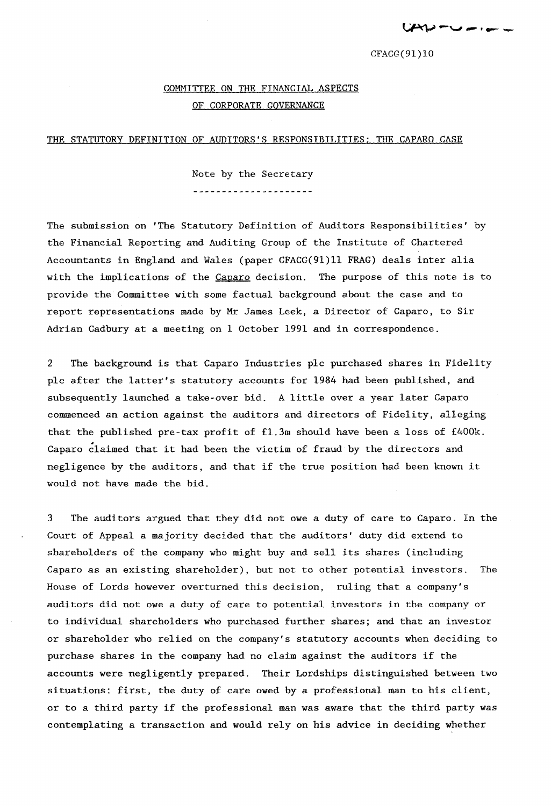$CFACG(91)10$ 

## COMMITTEE ON THE FINANCIAL ASPECTS OF CORPORATE GOVERNANCE

## THE STATUTORY DEFINITION OF AUDITORS'S RESPONSIBILITIES; THE CAPARO CASE

Note by the Secretary ----------------------

The submission on 'The Statutory Definition of Auditors Responsibilities' by the Financial Reporting and Auditing Group of the Institute of Chartered Accountants in England and Wales (paper CFACG(9l)11 FRAG) deals inter alia with the implications of the Caparo decision. The purpose of this note is to provide the Committee with some factual background about the case and to report representations made by Mr James Leek, a Director of Caparo, to Sir Adrian Cadbury at a meeting on 1 October 1991 and in correspondence.

2 The background is that Caparo Industries pIc purchased shares in Fidelity pIc after the latter's statutory accounts for 1984 had been published, and subsequently launched a take-over bid. A little over a year later Caparo commenced an action against the auditors and directors of Fidelity, alleging that the published pre-tax profit of £1.3m should have been a loss of £400k. Caparo claimed that it had been the victim of fraud by the directors and negligence by the auditors, and that if the true position had been known it would not have made the bid.

3 The auditors argued that they did not owe a duty of care to Caparo. In the Court of Appeal a majority decided that the auditors' duty did extend to shareholders of the company who might buy and sell its shares (including Caparo as an existing shareholder), but not to other potential investors. The House of Lords however overturned this decision, ruling that a company's auditors did not owe a duty of care to potential investors in the company or to individual shareholders who purchased further shares; and that an investor or shareholder who relied on the company's statutory accounts when deciding to purchase shares in the company had no claim against the auditors if the accounts were negligently prepared. Their Lordships distinguished between two situations: first, the duty of care owed by a professional man to his client, or to a third party if the professional man was aware that the third party was contemplating a transaction and would rely on his advice in deciding whether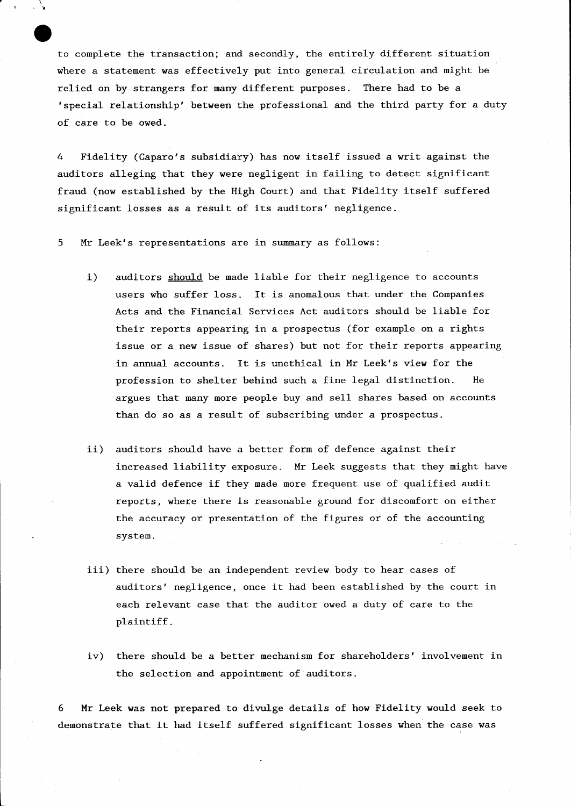to complete the transaction; and secondly, the entirely different situation where a statement was effectively put into general circulation and might be relied on by strangers for many different purposes. There had to be a 'special relationship' between the professional and the third party for a duty of care to be owed.

4 Fidelity (Caparo's subsidiary) has now itself issued a writ against the auditors alleging that they were negligent in failing to detect significant fraud (now established by the High Court) and that Fidelity itself suffered significant losses as a result of its auditors' negligence.

5 Mr Leek's representations are in summary as follows:

 $\mathcal{L}$ ,  $\mathcal{L}$ 

 $\cdot \cdot$ .

- i) auditors should be made liable for their negligence to accounts users who suffer loss. It is anomalous that under the Companies Acts and the Financial Services Act auditors should be liable for their reports appearing in a prospectus (for example on a rights issue or a new issue of shares) but not for their reports appearing in annual accounts. It is unethical in Mr Leek's view for the profession to shelter behind such a fine legal distinction. He argues that many more people buy and sell shares based on accounts than do so as a result of subscribing under a prospectus.
- ii) auditors should have a better form of defence against their increased liability exposure. Mr Leek suggests that they might have a valid defence if they made more frequent use of qualified audit reports, where there is reasonable ground for discomfort on either the accuracy or presentation of the figures or of the accounting system.
- iii) there should be an independent review body to hear cases of auditors' negligence, once it had been established by the court in each relevant case that the auditor owed a duty of care to the plaintiff.
- iv) there should be a better mechanism for shareholders' involvement in the selection and appointment of auditors.

6 Mr Leek was not prepared to divulge details of how Fidelity would seek to demonstrate that it had itself suffered significant losses when the case was